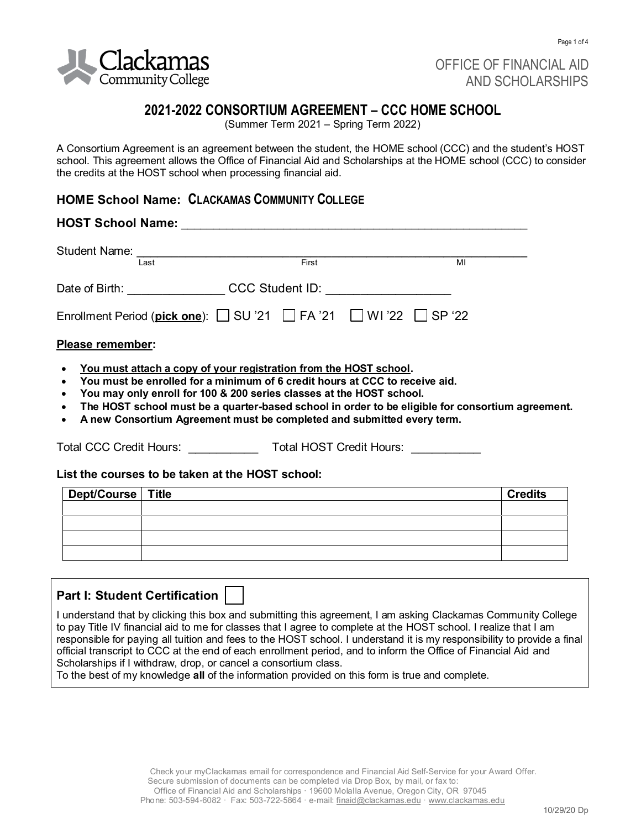

OFFICE OF FINANCIAL AID AND SCHOLARSHIPS

# **2021-2022 CONSORTIUM AGREEMENT – CCC HOME SCHOOL**

(Summer Term 2021 – Spring Term 2022)

A Consortium Agreement is an agreement between the student, the HOME school (CCC) and the student's HOST school. This agreement allows the Office of Financial Aid and Scholarships at the HOME school (CCC) to consider the credits at the HOST school when processing financial aid.

# **HOME School Name: CLACKAMAS COMMUNITY COLLEGE**

# **HOST School Name:** \_\_\_\_\_\_\_\_\_\_\_\_\_\_\_\_\_\_\_\_\_\_\_\_\_\_\_\_\_\_\_\_\_\_\_\_\_\_\_\_\_\_\_\_\_\_\_\_\_\_\_\_\_\_ Student Name: \_\_\_\_\_\_\_\_\_\_\_\_\_\_\_\_\_\_\_\_\_\_\_\_\_\_\_\_\_\_\_\_\_\_\_\_\_\_\_\_\_\_\_\_\_\_\_\_\_\_\_\_\_\_\_\_ Last First MI Date of Birth: \_\_\_\_\_\_\_\_\_\_\_\_\_\_\_\_\_\_ CCC Student ID: \_\_\_\_\_\_\_\_\_\_\_\_\_\_\_\_\_\_\_\_\_\_\_\_ Enrollment Period (**pick one**): SU '21 FA '21 WI '22 SP '22 **Please remember:**  • **You must attach a copy of your registration from the HOST school.**

- **You must be enrolled for a minimum of 6 credit hours at CCC to receive aid.**
- **You may only enroll for 100 & 200 series classes at the HOST school.**
- **The HOST school must be a quarter-based school in order to be eligible for consortium agreement.**
- **A new Consortium Agreement must be completed and submitted every term.**

Total CCC Credit Hours: \_\_\_\_\_\_\_\_\_\_ Total HOST Credit Hours: \_\_\_\_\_\_\_\_\_\_

#### **List the courses to be taken at the HOST school:**

| Dept/Course   Title | <b>Credits</b> |
|---------------------|----------------|
|                     |                |
|                     |                |
|                     |                |
|                     |                |

# **Part I: Student Certification**

I understand that by clicking this box and submitting this agreement, I am asking Clackamas Community College to pay Title IV financial aid to me for classes that I agree to complete at the HOST school. I realize that I am responsible for paying all tuition and fees to the HOST school. I understand it is my responsibility to provide a final official transcript to CCC at the end of each enrollment period, and to inform the Office of Financial Aid and Scholarships if I withdraw, drop, or cancel a consortium class.

To the best of my knowledge **all** of the information provided on this form is true and complete.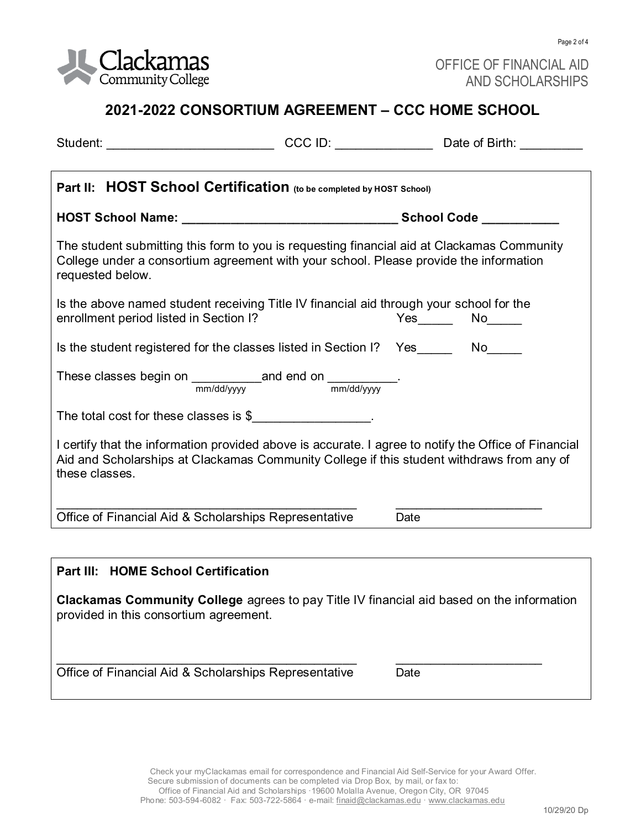

Page 2 of 4

# **2021-2022 CONSORTIUM AGREEMENT – CCC HOME SCHOOL**

| Student: ___________________________________CCC ID: __________________________Date of Birth: ____________                                                                                                                                                                         |  |               |  |  |
|-----------------------------------------------------------------------------------------------------------------------------------------------------------------------------------------------------------------------------------------------------------------------------------|--|---------------|--|--|
| Part II: HOST School Certification (to be completed by HOST School)                                                                                                                                                                                                               |  |               |  |  |
|                                                                                                                                                                                                                                                                                   |  |               |  |  |
| The student submitting this form to you is requesting financial aid at Clackamas Community<br>College under a consortium agreement with your school. Please provide the information<br>requested below.                                                                           |  |               |  |  |
| Is the above named student receiving Title IV financial aid through your school for the<br>enrollment period listed in Section I?                                                                                                                                                 |  | $Yes$ No $No$ |  |  |
| Is the student registered for the classes listed in Section I?  Yes _______ No_____                                                                                                                                                                                               |  |               |  |  |
| These classes begin on $\frac{1}{\text{mm}/\text{dd}/\text{yyy}}$ and end on $\frac{1}{\text{mm}/\text{dd}/\text{yyy}}$ .                                                                                                                                                         |  |               |  |  |
| The total cost for these classes is \$                                                                                                                                                                                                                                            |  |               |  |  |
| I certify that the information provided above is accurate. I agree to notify the Office of Financial<br>Aid and Scholarships at Clackamas Community College if this student withdraws from any of<br>these classes.                                                               |  |               |  |  |
| Office of Financial Aid & Scholarships Representative                                                                                                                                                                                                                             |  | Date          |  |  |
|                                                                                                                                                                                                                                                                                   |  |               |  |  |
| Part III: HOME School Certification                                                                                                                                                                                                                                               |  |               |  |  |
| $\mathbf{A}$ . The set of $\mathbf{A}$ , the set of $\mathbf{A}$ , the set of $\mathbf{A}$ , the set of $\mathbf{A}$ , and $\mathbf{A}$ , and $\mathbf{A}$ , and $\mathbf{A}$ , and $\mathbf{A}$ , and $\mathbf{A}$ , and $\mathbf{A}$ , and $\mathbf{A}$ , and $\mathbf{A}$ , an |  |               |  |  |

**Clackamas Community College** agrees to pay Title IV financial aid based on the information provided in this consortium agreement.

\_\_\_\_\_\_\_\_\_\_\_\_\_\_\_\_\_\_\_\_\_\_\_\_\_\_\_\_\_\_\_\_\_\_\_\_\_\_\_\_\_\_\_ \_\_\_\_\_\_\_\_\_\_\_\_\_\_\_\_\_\_\_\_\_

Office of Financial Aid & Scholarships Representative Date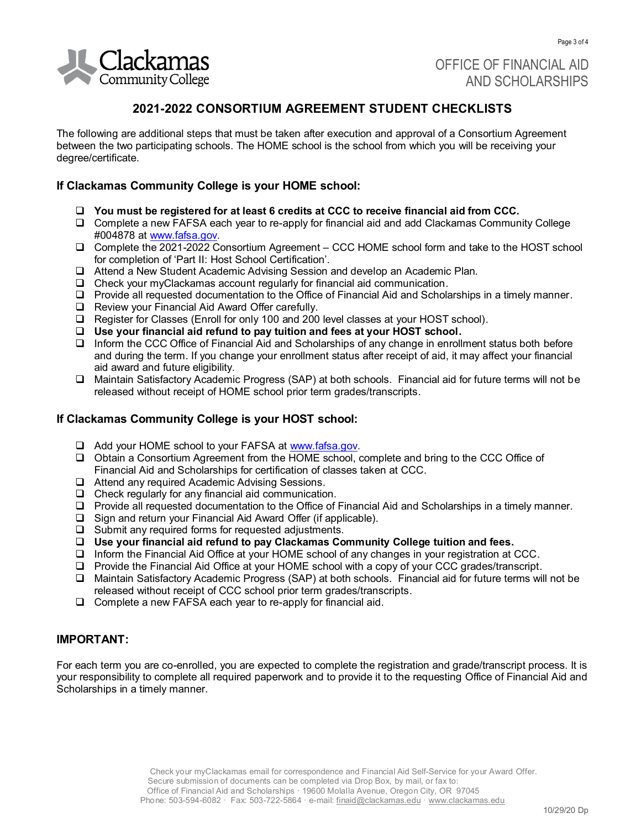

OFFICE OF FINANCIAL AID AND SCHOLARSHIPS

# **2021-2022 CONSORTIUM AGREEMENT STUDENT CHECKLISTS**

The following are additional steps that must be taken after execution and approval of a Consortium Agreement between the two participating schools. The HOME school is the school from which you will be receiving your degree/certificate.

### **If Clackamas Community College is your HOME school:**

- ❑ **You must be registered for at least 6 credits at CCC to receive financial aid from CCC.**
- ❑ Complete a new FAFSA each year to re-apply for financial aid and add Clackamas Community College #004878 at [www.fafsa.gov.](http://www.fafsa.gov/)
- ❑ Complete the 2021-2022 Consortium Agreement CCC HOME school form and take to the HOST school for completion of 'Part II: Host School Certification'.
- ❑ Attend a New Student Academic Advising Session and develop an Academic Plan.
- ❑ Check your myClackamas account regularly for financial aid communication.
- ❑ Provide all requested documentation to the Office of Financial Aid and Scholarships in a timely manner.
- ❑ Review your Financial Aid Award Offer carefully.
- ❑ Register for Classes (Enroll for only 100 and 200 level classes at your HOST school).
- ❑ **Use your financial aid refund to pay tuition and fees at your HOST school.**
- ❑ Inform the CCC Office of Financial Aid and Scholarships of any change in enrollment status both before and during the term. If you change your enrollment status after receipt of aid, it may affect your financial aid award and future eligibility.
- ❑ Maintain Satisfactory Academic Progress (SAP) at both schools. Financial aid for future terms will not be released without receipt of HOME school prior term grades/transcripts.

# **If Clackamas Community College is your HOST school:**

- ❑ Add your HOME school to your FAFSA a[t www.fafsa.gov.](http://www.fafsa.gov/)
- ❑ Obtain a Consortium Agreement from the HOME school, complete and bring to the CCC Office of Financial Aid and Scholarships for certification of classes taken at CCC.
- ❑ Attend any required Academic Advising Sessions.
- ❑ Check regularly for any financial aid communication.
- ❑ Provide all requested documentation to the Office of Financial Aid and Scholarships in a timely manner.
- ❑ Sign and return your Financial Aid Award Offer (if applicable).
- ❑ Submit any required forms for requested adjustments.
- ❑ **Use your financial aid refund to pay Clackamas Community College tuition and fees.**
- ❑ Inform the Financial Aid Office at your HOME school of any changes in your registration at CCC.
- ❑ Provide the Financial Aid Office at your HOME school with a copy of your CCC grades/transcript.
- ❑ Maintain Satisfactory Academic Progress (SAP) at both schools. Financial aid for future terms will not be released without receipt of CCC school prior term grades/transcripts.
- ❑ Complete a new FAFSA each year to re-apply for financial aid.

#### **IMPORTANT:**

For each term you are co-enrolled, you are expected to complete the registration and grade/transcript process. It is your responsibility to complete all required paperwork and to provide it to the requesting Office of Financial Aid and Scholarships in a timely manner.